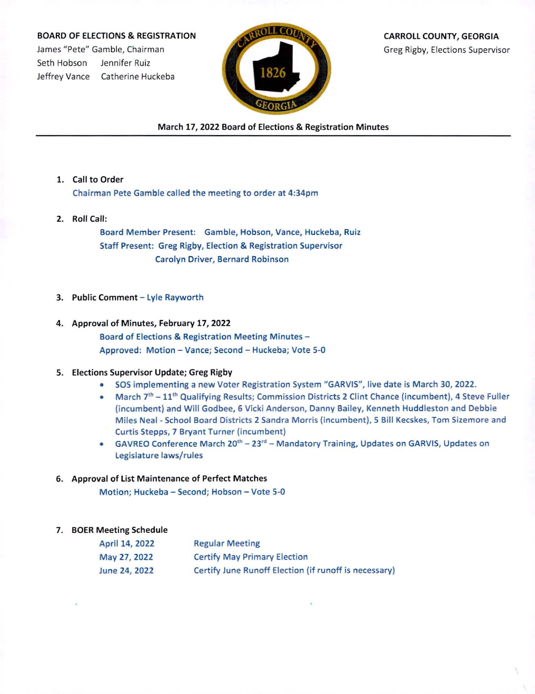## BOARD OF ELECTIONS & REGISTRATION

James "Pete" Gamble, Chairman Seth Hobson Jennifer Ruiz Jeffrey Vance Catherine Huckeba



CARROLL COUNTY, GEORGIA Greg Rigby, Elections Supervisor

March 17, 2022 Board of Elections & Registration Minutes

- 1. Call to Order Chairman Pete Gamble called the meeting to order at 4:34pm
- 2. Roll Call:

Board Member Present: Gamble, Hobson, Vance, Huckeba, Ruiz Staff Present: Greg Rigby, Election & Registration Supervisor Carolyn Driver, Bernard Robinson

- 3. Public Comment Lyle Rayworth
- 4. Approval of Minutes, February 17, 2022 Board of Elections & Registration Meeting Minutes - Approved: Motion - Vance; Second - Huckeba; Vote 5-0

## 5. Elections Supervisor Update; Greg Rigby

- SOS implementing <sup>a</sup> new Voter Registration System "GARVIS", live date is March 30, 2022.
- March 7<sup>th</sup> 11<sup>th</sup> Qualifying Results; Commission Districts 2 Clint Chance (incumbent), 4 Steve Fuller (incumbent) and Will Godbee, 6 Vicki Anderson, Danny Bailey, Kenneth Huddleston and Debbie Miles Neal - School Board Districts 2 Sandra Morris (incumbent), 5 Bill Kecskes, Tom Sizemore and Curtis Stepps, 7 Bryant Turner (incumbent)
- GAVREO Conference March 20<sup>th</sup> 23<sup>rd</sup> Mandatory Training, Updates on GARVIS, Updates on Legislature laws/rules

## 6. Approval of List Maintenance of Perfect Matches

Motion; Huckeba - Second; Hobson - Vote 5-0

## 7. BOER Meeting Schedule

| April 14, 2022<br>May 27, 2022 | <b>Regular Meeting</b>                                |
|--------------------------------|-------------------------------------------------------|
|                                | <b>Certify May Primary Election</b>                   |
| June 24, 2022                  | Certify June Runoff Election (if runoff is necessary) |